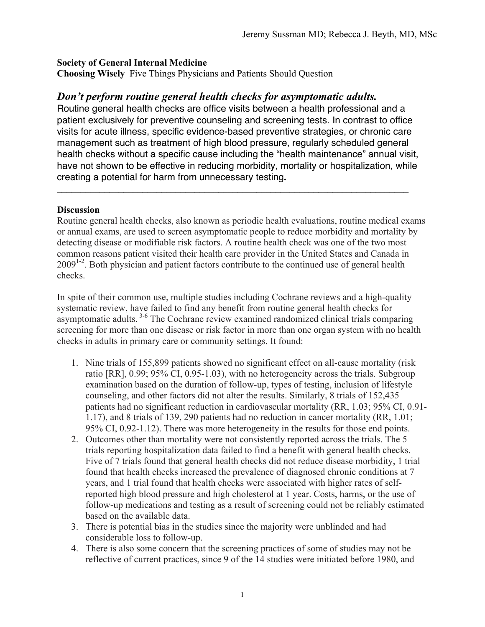## **Society of General Internal Medicine**

**Choosing Wisely** Five Things Physicians and Patients Should Question

## *Don't perform routine general health checks for asymptomatic adults.*

Routine general health checks are office visits between a health professional and a patient exclusively for preventive counseling and screening tests. In contrast to office visits for acute illness, specific evidence-based preventive strategies, or chronic care management such as treatment of high blood pressure, regularly scheduled general health checks without a specific cause including the "health maintenance" annual visit, have not shown to be effective in reducing morbidity, mortality or hospitalization, while creating a potential for harm from unnecessary testing**.**

 $\mathcal{L}_\mathcal{L} = \{ \mathcal{L}_\mathcal{L} = \{ \mathcal{L}_\mathcal{L} = \{ \mathcal{L}_\mathcal{L} = \{ \mathcal{L}_\mathcal{L} = \{ \mathcal{L}_\mathcal{L} = \{ \mathcal{L}_\mathcal{L} = \{ \mathcal{L}_\mathcal{L} = \{ \mathcal{L}_\mathcal{L} = \{ \mathcal{L}_\mathcal{L} = \{ \mathcal{L}_\mathcal{L} = \{ \mathcal{L}_\mathcal{L} = \{ \mathcal{L}_\mathcal{L} = \{ \mathcal{L}_\mathcal{L} = \{ \mathcal{L}_\mathcal{$ 

## **Discussion**

Routine general health checks, also known as periodic health evaluations, routine medical exams or annual exams, are used to screen asymptomatic people to reduce morbidity and mortality by detecting disease or modifiable risk factors. A routine health check was one of the two most common reasons patient visited their health care provider in the United States and Canada in  $2009<sup>1-2</sup>$ . Both physician and patient factors contribute to the continued use of general health checks.

In spite of their common use, multiple studies including Cochrane reviews and a high-quality systematic review, have failed to find any benefit from routine general health checks for asymptomatic adults.<sup>3-6</sup> The Cochrane review examined randomized clinical trials comparing screening for more than one disease or risk factor in more than one organ system with no health checks in adults in primary care or community settings. It found:

- 1. Nine trials of 155,899 patients showed no significant effect on all-cause mortality (risk ratio [RR], 0.99; 95% CI, 0.95-1.03), with no heterogeneity across the trials. Subgroup examination based on the duration of follow-up, types of testing, inclusion of lifestyle counseling, and other factors did not alter the results. Similarly, 8 trials of 152,435 patients had no significant reduction in cardiovascular mortality (RR, 1.03; 95% CI, 0.91- 1.17), and 8 trials of 139, 290 patients had no reduction in cancer mortality (RR, 1.01; 95% CI, 0.92-1.12). There was more heterogeneity in the results for those end points.
- 2. Outcomes other than mortality were not consistently reported across the trials. The 5 trials reporting hospitalization data failed to find a benefit with general health checks. Five of 7 trials found that general health checks did not reduce disease morbidity, 1 trial found that health checks increased the prevalence of diagnosed chronic conditions at 7 years, and 1 trial found that health checks were associated with higher rates of selfreported high blood pressure and high cholesterol at 1 year. Costs, harms, or the use of follow-up medications and testing as a result of screening could not be reliably estimated based on the available data.
- 3. There is potential bias in the studies since the majority were unblinded and had considerable loss to follow-up.
- 4. There is also some concern that the screening practices of some of studies may not be reflective of current practices, since 9 of the 14 studies were initiated before 1980, and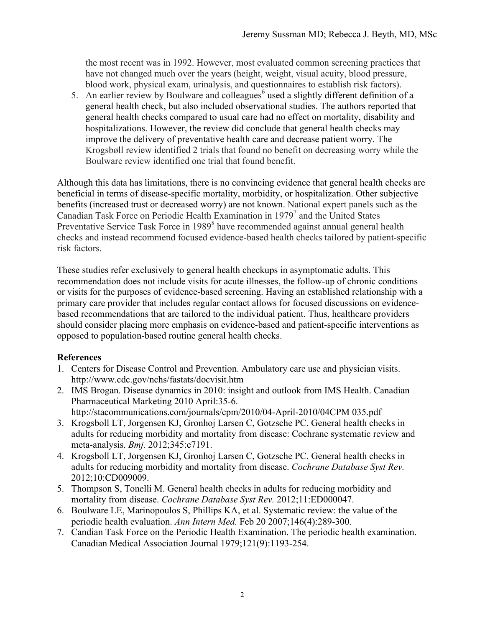the most recent was in 1992. However, most evaluated common screening practices that have not changed much over the years (height, weight, visual acuity, blood pressure, blood work, physical exam, urinalysis, and questionnaires to establish risk factors).

5. An earlier review by Boulware and colleagues<sup> $6$ </sup> used a slightly different definition of a general health check, but also included observational studies. The authors reported that general health checks compared to usual care had no effect on mortality, disability and hospitalizations. However, the review did conclude that general health checks may improve the delivery of preventative health care and decrease patient worry. The Krogsbøll review identified 2 trials that found no benefit on decreasing worry while the Boulware review identified one trial that found benefit.

Although this data has limitations, there is no convincing evidence that general health checks are beneficial in terms of disease-specific mortality, morbidity, or hospitalization. Other subjective benefits (increased trust or decreased worry) are not known. National expert panels such as the Canadian Task Force on Periodic Health Examination in  $1979<sup>7</sup>$  and the United States Preventative Service Task Force in 1989<sup>8</sup> have recommended against annual general health checks and instead recommend focused evidence-based health checks tailored by patient-specific risk factors.

These studies refer exclusively to general health checkups in asymptomatic adults. This recommendation does not include visits for acute illnesses, the follow-up of chronic conditions or visits for the purposes of evidence-based screening. Having an established relationship with a primary care provider that includes regular contact allows for focused discussions on evidencebased recommendations that are tailored to the individual patient. Thus, healthcare providers should consider placing more emphasis on evidence-based and patient-specific interventions as opposed to population-based routine general health checks.

## **References**

- 1. Centers for Disease Control and Prevention. Ambulatory care use and physician visits. http://www.cdc.gov/nchs/fastats/docvisit.htm
- 2. IMS Brogan. Disease dynamics in 2010: insight and outlook from IMS Health. Canadian Pharmaceutical Marketing 2010 April:35-6. http://stacommunications.com/journals/cpm/2010/04-April-2010/04CPM 035.pdf
- 3. Krogsboll LT, Jorgensen KJ, Gronhoj Larsen C, Gotzsche PC. General health checks in adults for reducing morbidity and mortality from disease: Cochrane systematic review and meta-analysis. *Bmj.* 2012;345:e7191.
- 4. Krogsboll LT, Jorgensen KJ, Gronhoj Larsen C, Gotzsche PC. General health checks in adults for reducing morbidity and mortality from disease. *Cochrane Database Syst Rev.*  2012;10:CD009009.
- 5. Thompson S, Tonelli M. General health checks in adults for reducing morbidity and mortality from disease. *Cochrane Database Syst Rev.* 2012;11:ED000047.
- 6. Boulware LE, Marinopoulos S, Phillips KA, et al. Systematic review: the value of the periodic health evaluation. *Ann Intern Med.* Feb 20 2007;146(4):289-300.
- 7. Candian Task Force on the Periodic Health Examination. The periodic health examination. Canadian Medical Association Journal 1979;121(9):1193-254.